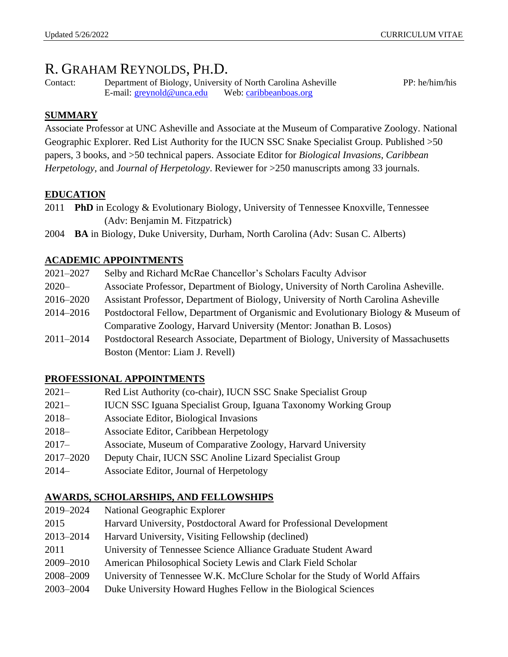# R. GRAHAM REYNOLDS, PH.D.

Contact: Department of Biology, University of North Carolina Asheville PP: he/him/his E-mail: [greynold@unca.edu](mailto:greynold@unca.edu) Web: [caribbeanboas.org](http://www.caribbeanboas.org/)

# **SUMMARY**

Associate Professor at UNC Asheville and Associate at the Museum of Comparative Zoology. National Geographic Explorer. Red List Authority for the IUCN SSC Snake Specialist Group. Published >50 papers, 3 books, and >50 technical papers. Associate Editor for *Biological Invasions*, *Caribbean Herpetology*, and *Journal of Herpetology*. Reviewer for >250 manuscripts among 33 journals.

### **EDUCATION**

- 2011 **PhD** in Ecology & Evolutionary Biology, University of Tennessee Knoxville, Tennessee (Adv: Benjamin M. Fitzpatrick)
- 2004 **BA** in Biology, Duke University, Durham, North Carolina (Adv: Susan C. Alberts)

# **ACADEMIC APPOINTMENTS**

| 2021-2027 | Selby and Richard McRae Chancellor's Scholars Faculty Advisor                       |
|-----------|-------------------------------------------------------------------------------------|
| $2020 -$  | Associate Professor, Department of Biology, University of North Carolina Asheville. |
| 2016–2020 | Assistant Professor, Department of Biology, University of North Carolina Asheville  |
| 2014-2016 | Postdoctoral Fellow, Department of Organismic and Evolutionary Biology & Museum of  |
|           | Comparative Zoology, Harvard University (Mentor: Jonathan B. Losos)                 |
| 2011-2014 | Postdoctoral Research Associate, Department of Biology, University of Massachusetts |
|           | Boston (Mentor: Liam J. Revell)                                                     |
|           |                                                                                     |

# **PROFESSIONAL APPOINTMENTS**

| $2021 -$  | Red List Authority (co-chair), IUCN SSC Snake Specialist Group         |
|-----------|------------------------------------------------------------------------|
| $2021 -$  | <b>IUCN SSC Iguana Specialist Group, Iguana Taxonomy Working Group</b> |
| $2018-$   | Associate Editor, Biological Invasions                                 |
| $2018-$   | Associate Editor, Caribbean Herpetology                                |
| $2017 -$  | Associate, Museum of Comparative Zoology, Harvard University           |
| 2017-2020 | Deputy Chair, IUCN SSC Anoline Lizard Specialist Group                 |
| $2014-$   | Associate Editor, Journal of Herpetology                               |

# **AWARDS, SCHOLARSHIPS, AND FELLOWSHIPS**

| 2019-2024 | National Geographic Explorer                                                |
|-----------|-----------------------------------------------------------------------------|
| 2015      | Harvard University, Postdoctoral Award for Professional Development         |
| 2013-2014 | Harvard University, Visiting Fellowship (declined)                          |
| 2011      | University of Tennessee Science Alliance Graduate Student Award             |
| 2009–2010 | American Philosophical Society Lewis and Clark Field Scholar                |
| 2008-2009 | University of Tennessee W.K. McClure Scholar for the Study of World Affairs |
| 2003-2004 | Duke University Howard Hughes Fellow in the Biological Sciences             |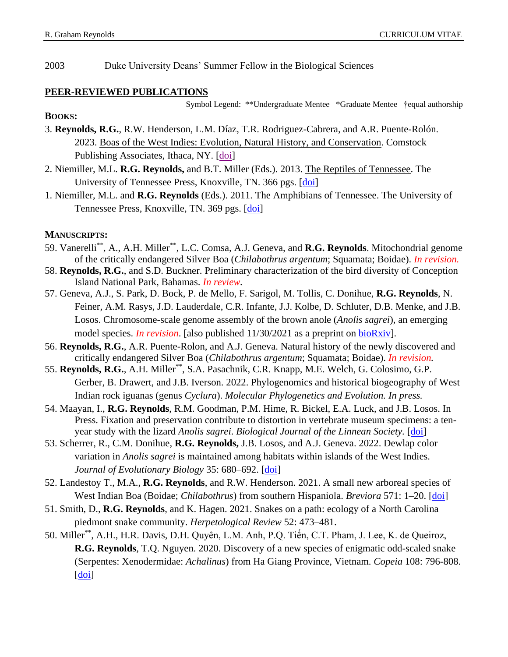2003 Duke University Deans' Summer Fellow in the Biological Sciences

### **PEER-REVIEWED PUBLICATIONS**

Symbol Legend: \*\*Undergraduate Mentee \*Graduate Mentee †equal authorship

### **BOOKS:**

- 3. **Reynolds, R.G.**, R.W. Henderson, L.M. Díaz, T.R. Rodriguez-Cabrera, and A.R. Puente-Rolón. 2023. Boas of the West Indies: Evolution, Natural History, and Conservation. Comstock Publishing Associates, Ithaca, NY. [\[doi\]](https://www.cornellpress.cornell.edu/book/9781501765452/boas-of-the-west-indies/#bookTabs=1)
- 2. Niemiller, M.L. **R.G. Reynolds,** and B.T. Miller (Eds.). 2013. The Reptiles of Tennessee. The University of Tennessee Press, Knoxville, TN. 366 pgs. [\[doi\]](http://utpress.org/bookdetail-2/?jobno=T01651)
- 1. Niemiller, M.L. and **R.G. Reynolds** (Eds.). 2011. The Amphibians of Tennessee. The University of Tennessee Press, Knoxville, TN. 369 pgs. [\[doi\]](http://utpress.org/bookdetail-2/?jobno=T01524&authorsm=Niemiller,%20Matthew)

### **MANUSCRIPTS:**

- 59. Vanerelli\*\*, A., A.H. Miller\*\*, L.C. Comsa, A.J. Geneva, and **R.G. Reynolds**. Mitochondrial genome of the critically endangered Silver Boa (*Chilabothrus argentum*; Squamata; Boidae). *In revision.*
- 58. **Reynolds, R.G.**, and S.D. Buckner. Preliminary characterization of the bird diversity of Conception Island National Park, Bahamas. *In review.*
- 57. Geneva, A.J., S. Park, D. Bock, P. de Mello, F. Sarigol, M. Tollis, C. Donihue, **R.G. Reynolds**, N. Feiner, A.M. Rasys, J.D. Lauderdale, C.R. Infante, J.J. Kolbe, D. Schluter, D.B. Menke, and J.B. Losos. Chromosome-scale genome assembly of the brown anole (*Anolis sagrei*), an emerging model species. *In revision*. [also published 11/30/2021 as a preprint on [bioRxiv\]](https://www.biorxiv.org/content/10.1101/2021.09.28.462146v1).
- 56. **Reynolds, R.G.**, A.R. Puente-Rolon, and A.J. Geneva. Natural history of the newly discovered and critically endangered Silver Boa (*Chilabothrus argentum*; Squamata; Boidae). *In revision.*
- 55. **Reynolds, R.G.**, A.H. Miller\*\*, S.A. Pasachnik, C.R. Knapp, M.E. Welch, G. Colosimo, G.P. Gerber, B. Drawert, and J.B. Iverson. 2022. Phylogenomics and historical biogeography of West Indian rock iguanas (genus *Cyclura*). *Molecular Phylogenetics and Evolution. In press.*
- 54. Maayan, I., **R.G. Reynolds**, R.M. Goodman, P.M. Hime, R. Bickel, E.A. Luck, and J.B. Losos. In Press. Fixation and preservation contribute to distortion in vertebrate museum specimens: a tenyear study with the lizard *Anolis sagrei*. *Biological Journal of the Linnean Society.* [\[doi\]](https://academic.oup.com/biolinnean/advance-article-abstract/doi/10.1093/biolinnean/blac040/6586261?redirectedFrom=fulltext)
- 53. Scherrer, R., C.M. Donihue, **R.G. Reynolds,** J.B. Losos, and A.J. Geneva. 2022. Dewlap color variation in *Anolis sagrei* is maintained among habitats within islands of the West Indies. *Journal of Evolutionary Biology* 35: 680–692. [\[doi\]](https://onlinelibrary.wiley.com/doi/10.1111/jeb.14002)
- 52. Landestoy T., M.A., **R.G. Reynolds**, and R.W. Henderson. 2021. A small new arboreal species of West Indian Boa (Boidae; *Chilabothrus*) from southern Hispaniola. *Breviora* 571: 1–20. [\[doi\]](https://bioone.org/journals/breviora/volume-571/issue-1/MCZ67.1/A-SMALL-NEW-ARBOREAL-SPECIES-OF-WEST-INDIAN-BOA-BOIDAE/10.3099/MCZ67.1.short)
- 51. Smith, D., **R.G. Reynolds**, and K. Hagen. 2021. Snakes on a path: ecology of a North Carolina piedmont snake community. *Herpetological Review* 52: 473–481.
- 50. Miller\*\*, A.H., H.R. Davis, D.H. Quyên, L.M. Anh, P.Q. Tiến, C.T. Pham, J. Lee, K. de Queiroz, **R.G. Reynolds**, T.Q. Nguyen. 2020. Discovery of a new species of enigmatic odd-scaled snake (Serpentes: Xenodermidae: *Achalinus*) from Ha Giang Province, Vietnam. *Copeia* 108: 796-808.  $\left[$ doi $\right]$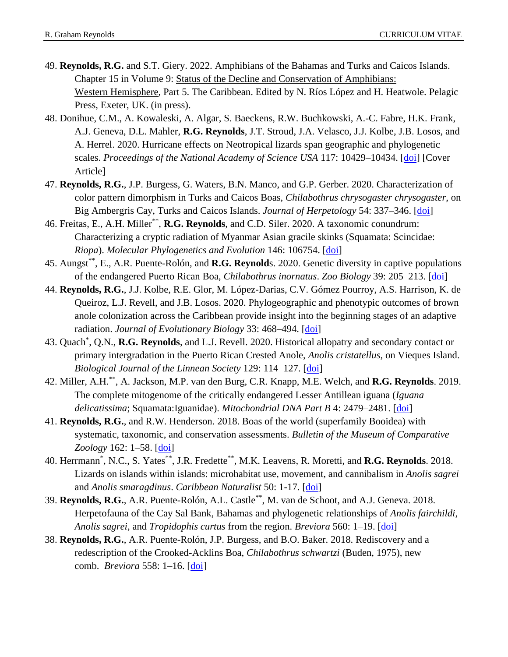- 49. **Reynolds, R.G.** and S.T. Giery. 2022. Amphibians of the Bahamas and Turks and Caicos Islands. Chapter 15 in Volume 9: Status of the Decline and Conservation of Amphibians: Western Hemisphere, Part 5. The Caribbean. Edited by N. Ríos López and H. Heatwole. Pelagic Press, Exeter, UK. (in press).
- 48. Donihue, C.M., A. Kowaleski, A. Algar, S. Baeckens, R.W. Buchkowski, A.-C. Fabre, H.K. Frank, A.J. Geneva, D.L. Mahler, **R.G. Reynolds**, J.T. Stroud, J.A. Velasco, J.J. Kolbe, J.B. Losos, and A. Herrel. 2020. Hurricane effects on Neotropical lizards span geographic and phylogenetic scales. *Proceedings of the National Academy of Science USA* 117: 10429-10434. [\[doi\]](https://www.pnas.org/content/117/19/10429) [Cover Article]
- 47. **Reynolds, R.G.**, J.P. Burgess, G. Waters, B.N. Manco, and G.P. Gerber. 2020. Characterization of color pattern dimorphism in Turks and Caicos Boas, *Chilabothrus chrysogaster chrysogaster*, on Big Ambergris Cay, Turks and Caicos Islands. *Journal of Herpetology* 54: 337–346. [\[doi\]](https://bioone.org/journals/journal-of-herpetology/volume-54/issue-3/18-051/Characterization-of-Color-Pattern-Dimorphism-in-Turks-and-Caicos-Boas/10.1670/18-051.full)
- 46. Freitas, E., A.H. Miller\*\* , **R.G. Reynolds**, and C.D. Siler. 2020. A taxonomic conundrum: Characterizing a cryptic radiation of Myanmar Asian gracile skinks (Squamata: Scincidae: *Riopa*). *Molecular Phylogenetics and Evolution* 146: 106754. [\[doi\]](https://www.sciencedirect.com/science/article/abs/pii/S1055790320300269)
- 45. Aungst\*\*, E., A.R. Puente-Rolón, and **R.G. Reynold**s. 2020. Genetic diversity in captive populations of the endangered Puerto Rican Boa, *Chilabothrus inornatus*. *Zoo Biology* 39: 205–213. [\[doi\]](https://onlinelibrary.wiley.com/doi/full/10.1002/zoo.21535)
- 44. **Reynolds, R.G.**, J.J. Kolbe, R.E. Glor, M. López-Darias, C.V. Gómez Pourroy, A.S. Harrison, K. de Queiroz, L.J. Revell, and J.B. Losos. 2020. Phylogeographic and phenotypic outcomes of brown anole colonization across the Caribbean provide insight into the beginning stages of an adaptive radiation. *Journal of Evolutionary Biology* 33: 468–494. [\[doi\]](https://academic.oup.com/biolinnean/article-abstract/129/1/114/5612548?redirectedFrom=fulltext)
- 43. Quach\* , Q.N., **R.G. Reynolds**, and L.J. Revell. 2020. Historical allopatry and secondary contact or primary intergradation in the Puerto Rican Crested Anole, *Anolis cristatellus*, on Vieques Island. *Biological Journal of the Linnean Society* 129: 114–127. [\[doi\]](https://academic.oup.com/biolinnean/article-abstract/129/1/114/5612548?redirectedFrom=fulltext)
- 42. Miller, A.H.\*\*, A. Jackson, M.P. van den Burg, C.R. Knapp, M.E. Welch, and **R.G. Reynolds**. 2019. The complete mitogenome of the critically endangered Lesser Antillean iguana (*Iguana delicatissima*; Squamata:Iguanidae). *Mitochondrial DNA Part B* 4: 2479–2481. [\[doi\]](https://www.tandfonline.com/doi/full/10.1080/23802359.2019.1637789)
- 41. **Reynolds, R.G.**, and R.W. Henderson. 2018. Boas of the world (superfamily Booidea) with systematic, taxonomic, and conservation assessments. *Bulletin of the Museum of Comparative Zoology* 162: 1–58. [\[doi\]](http://www.bioone.org/doi/abs/10.3099/MCZ48.1)
- 40. Herrmann\* , N.C., S. Yates\*\*, J.R. Fredette\*\* , M.K. Leavens, R. Moretti, and **R.G. Reynolds**. 2018. Lizards on islands within islands: microhabitat use, movement, and cannibalism in *Anolis sagrei* and *Anolis smaragdinus*. *Caribbean Naturalist* 50: 1-17. [\[doi\]](https://www.eaglehill.us/CANAonline/articles/CANA-50/04-Herrmann.shtml)
- 39. **Reynolds, R.G.**, A.R. Puente-Rolón, A.L. Castle\*\* , M. van de Schoot, and A.J. Geneva. 2018. Herpetofauna of the Cay Sal Bank, Bahamas and phylogenetic relationships of *Anolis fairchildi*, *Anolis sagrei*, and *Tropidophis curtus* from the region. *Breviora* 560: 1–19. [\[doi\]](http://www.bioone.org/doi/abs/10.3099/MCZ45.1)
- 38. **Reynolds, R.G.**, A.R. Puente-Rolón, J.P. Burgess, and B.O. Baker. 2018. Rediscovery and a redescription of the Crooked-Acklins Boa, *Chilabothrus schwartzi* (Buden, 1975), new comb. *Breviora* 558: 1–16. [\[doi\]](http://www.bioone.org/doi/abs/10.3099/MCZ46.1)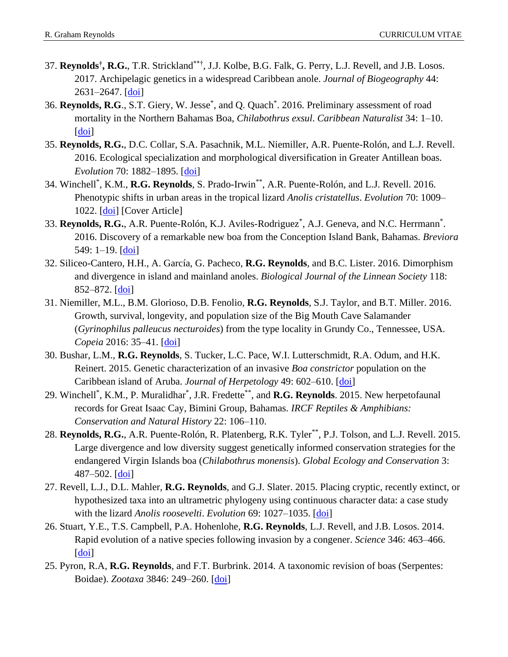- 37. **Reynolds† , R.G.**, T.R. Strickland\*\*†, J.J. Kolbe, B.G. Falk, G. Perry, L.J. Revell, and J.B. Losos. 2017. Archipelagic genetics in a widespread Caribbean anole. *Journal of Biogeography* 44: 2631–2647. [\[doi\]](http://onlinelibrary.wiley.com/doi/10.1111/jbi.13072/abstract)
- 36. Reynolds, R.G., S.T. Giery, W. Jesse<sup>\*</sup>, and Q. Quach<sup>\*</sup>. 2016. Preliminary assessment of road mortality in the Northern Bahamas Boa, *Chilabothrus exsul*. *Caribbean Naturalist* 34: 1–10. [\[doi\]](http://www.eaglehill.us/CANAonline/articles/CANA-34/04-Reynolds.shtml)
- 35. **Reynolds, R.G.**, D.C. Collar, S.A. Pasachnik, M.L. Niemiller, A.R. Puente-Rolón, and L.J. Revell. 2016. Ecological specialization and morphological diversification in Greater Antillean boas. *Evolution* 70: 1882–1895. [\[doi\]](http://onlinelibrary.wiley.com/doi/10.1111/evo.12987/abstract)
- 34. Winchell\* , K.M., **R.G. Reynolds**, S. Prado-Irwin\*\*, A.R. Puente-Rolón, and L.J. Revell. 2016. Phenotypic shifts in urban areas in the tropical lizard *Anolis cristatellus*. *Evolution* 70: 1009– 1022. [\[doi\]](http://onlinelibrary.wiley.com/doi/10.1111/evo.12925/abstract) [Cover Article]
- 33. Reynolds, R.G., A.R. Puente-Rolón, K.J. Aviles-Rodriguez<sup>\*</sup>, A.J. Geneva, and N.C. Herrmann<sup>\*</sup>. 2016. Discovery of a remarkable new boa from the Conception Island Bank, Bahamas. *Breviora* 549:  $1-19$ .  $\lfloor \text{doi} \rfloor$
- 32. Siliceo-Cantero, H.H., A. García, G. Pacheco, **R.G. Reynolds**, and B.C. Lister. 2016. Dimorphism and divergence in island and mainland anoles. *Biological Journal of the Linnean Society* 118: 852–872. [\[doi\]](http://onlinelibrary.wiley.com/doi/10.1111/bij.12776/abstract)
- 31. Niemiller, M.L., B.M. Glorioso, D.B. Fenolio, **R.G. Reynolds**, S.J. Taylor, and B.T. Miller. 2016. Growth, survival, longevity, and population size of the Big Mouth Cave Salamander (*Gyrinophilus palleucus necturoides*) from the type locality in Grundy Co., Tennessee, USA. *Copeia* 2016: 35–41. [\[doi\]](http://www.asihcopeiaonline.org/doi/abs/10.1643/OT-14-197)
- 30. Bushar, L.M., **R.G. Reynolds**, S. Tucker, L.C. Pace, W.I. Lutterschmidt, R.A. Odum, and H.K. Reinert. 2015. Genetic characterization of an invasive *Boa constrictor* population on the Caribbean island of Aruba. *Journal of Herpetology* 49: 602–610. [\[doi\]](http://www.bioone.org/doi/abs/10.1670/14-059)
- 29. Winchell\* , K.M., P. Muralidhar\* , J.R. Fredette\*\*, and **R.G. Reynolds**. 2015. New herpetofaunal records for Great Isaac Cay, Bimini Group, Bahamas. *IRCF Reptiles & Amphibians: Conservation and Natural History* 22: 106–110.
- 28. **Reynolds, R.G.**, A.R. Puente-Rolón, R. Platenberg, R.K. Tyler\*\*, P.J. Tolson, and L.J. Revell. 2015. Large divergence and low diversity suggest genetically informed conservation strategies for the endangered Virgin Islands boa (*Chilabothrus monensis*). *Global Ecology and Conservation* 3: 487–502.  $[doi]$
- 27. Revell, L.J., D.L. Mahler, **R.G. Reynolds**, and G.J. Slater. 2015. Placing cryptic, recently extinct, or hypothesized taxa into an ultrametric phylogeny using continuous character data: a case study with the lizard *Anolis roosevelti*. *Evolution* 69: 1027–1035. [\[doi\]](http://onlinelibrary.wiley.com/doi/10.1111/evo.12628/abstract)
- 26. Stuart, Y.E., T.S. Campbell, P.A. Hohenlohe, **R.G. Reynolds**, L.J. Revell, and J.B. Losos. 2014. Rapid evolution of a native species following invasion by a congener. *Science* 346: 463–466. [\[doi\]](http://www.sciencemag.org/content/346/6208/463.abstract)
- 25. Pyron, R.A, **R.G. Reynolds**, and F.T. Burbrink. 2014. A taxonomic revision of boas (Serpentes: Boidae). *Zootaxa* 3846: 249–260. [\[doi\]](http://www.rgrahamreynolds.info/wp-content/uploads/2014/08/Pyron-et-al.-2014.pdf)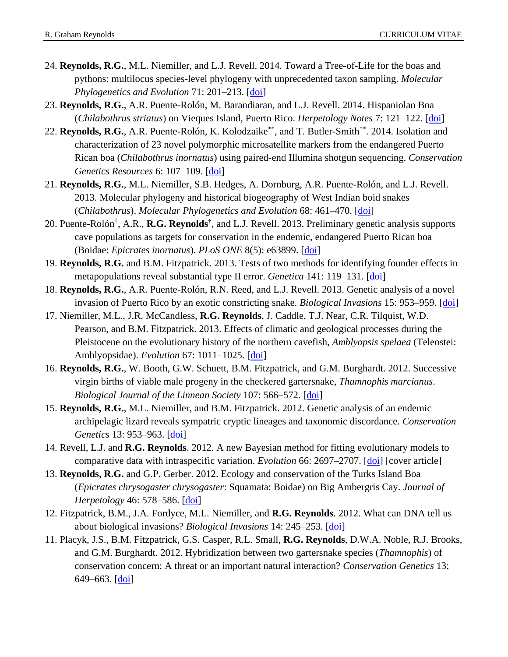- 24. **Reynolds, R.G.**, M.L. Niemiller, and L.J. Revell. 2014. Toward a Tree-of-Life for the boas and pythons: multilocus species-level phylogeny with unprecedented taxon sampling. *Molecular Phylogenetics and Evolution* 71: 201–213. [\[doi\]](http://www.sciencedirect.com/science/article/pii/S1055790313004284)
- 23. **Reynolds, R.G.**, A.R. Puente-Rolón, M. Barandiaran, and L.J. Revell. 2014. Hispaniolan Boa (*Chilabothrus striatus*) on Vieques Island, Puerto Rico. *Herpetology Notes* 7: 121–122. [\[doi\]](http://www.herpetologynotes.seh-herpetology.org/Volume7_PDFs/Reynolds_HerpetologyNotes_volume7_pp121-122.pdf)
- 22. Reynolds, R.G., A.R. Puente-Rolón, K. Kolodzaike<sup>\*\*</sup>, and T. Butler-Smith<sup>\*\*</sup>. 2014. Isolation and characterization of 23 novel polymorphic microsatellite markers from the endangered Puerto Rican boa (*Chilabothrus inornatus*) using paired-end Illumina shotgun sequencing. *Conservation Genetics Resources* 6: 107–109. [\[doi\]](http://link.springer.com/article/10.1007/s12686-013-0016-4)
- 21. **Reynolds, R.G.**, M.L. Niemiller, S.B. Hedges, A. Dornburg, A.R. Puente-Rolón, and L.J. Revell. 2013. Molecular phylogeny and historical biogeography of West Indian boid snakes (*Chilabothrus*). *Molecular Phylogenetics and Evolution* 68: 461–470. [\[doi\]](http://www.sciencedirect.com/science/article/pii/S1055790313001875)
- 20. Puente-Rolón† , A.R., **R.G. Reynolds†** , and L.J. Revell. 2013. Preliminary genetic analysis supports cave populations as targets for conservation in the endemic, endangered Puerto Rican boa (Boidae: *Epicrates inornatus*). *PLoS ONE* 8(5): e63899. [\[doi\]](http://www.plosone.org/article/info%3Adoi%2F10.1371%2Fjournal.pone.0063899)
- 19. **Reynolds, R.G.** and B.M. Fitzpatrick. 2013. Tests of two methods for identifying founder effects in metapopulations reveal substantial type II error. *Genetica* 141: 119–131. [\[doi\]](http://link.springer.com/article/10.1007%2Fs10709-013-9711-z)
- 18. **Reynolds, R.G.**, A.R. Puente-Rolón, R.N. Reed, and L.J. Revell. 2013. Genetic analysis of a novel invasion of Puerto Rico by an exotic constricting snake. *Biological Invasions* 15: 953–959. [\[doi\]](http://link.springer.com/article/10.1007/s10530-012-0354-2)
- 17. Niemiller, M.L., J.R. McCandless, **R.G. Reynolds**, J. Caddle, T.J. Near, C.R. Tilquist, W.D. Pearson, and B.M. Fitzpatrick. 2013. Effects of climatic and geological processes during the Pleistocene on the evolutionary history of the northern cavefish, *Amblyopsis spelaea* (Teleostei: Amblyopsidae). *Evolution* 67: 1011–1025. [\[doi\]](http://onlinelibrary.wiley.com/doi/10.1111/evo.12017/abstract)
- 16. **Reynolds, R.G.**, W. Booth, G.W. Schuett, B.M. Fitzpatrick, and G.M. Burghardt. 2012. Successive virgin births of viable male progeny in the checkered gartersnake, *Thamnophis marcianus*. *Biological Journal of the Linnean Society* 107: 566–572. [\[doi\]](http://onlinelibrary.wiley.com/doi/10.1111/j.1095-8312.2012.01954.x/pdf)
- 15. **Reynolds, R.G.**, M.L. Niemiller, and B.M. Fitzpatrick. 2012. Genetic analysis of an endemic archipelagic lizard reveals sympatric cryptic lineages and taxonomic discordance. *Conservation Genetics* 13: 953–963. [\[doi\]](http://www.springerlink.com/content/k511856625744623/?MUD=MP)
- 14. Revell, L.J. and **R.G. Reynolds**. 2012. A new Bayesian method for fitting evolutionary models to comparative data with intraspecific variation. *Evolution* 66: 2697–2707. [\[doi\]](http://onlinelibrary.wiley.com/doi/10.1111/j.1558-5646.2012.01645.x/abstract;jsessionid=2D8920D7FC14C05BEE5BD4C2A4993C9E.d02t01?deniedAccessCustomisedMessage=&userIsAuthenticated=false) [cover article]
- 13. **Reynolds, R.G.** and G.P. Gerber. 2012. Ecology and conservation of the Turks Island Boa (*Epicrates chrysogaster chrysogaster*: Squamata: Boidae) on Big Ambergris Cay. *Journal of Herpetology* 46: 578–586. [\[doi\]](http://www.bioone.org/doi/abs/10.1670/11-079)
- 12. Fitzpatrick, B.M., J.A. Fordyce, M.L. Niemiller, and **R.G. Reynolds**. 2012. What can DNA tell us about biological invasions? *Biological Invasions* 14: 245–253. [\[doi\]](http://www.springerlink.com/content/q36786h7449r5547/)
- 11. Placyk, J.S., B.M. Fitzpatrick, G.S. Casper, R.L. Small, **R.G. Reynolds**, D.W.A. Noble, R.J. Brooks, and G.M. Burghardt. 2012. Hybridization between two gartersnake species (*Thamnophis*) of conservation concern: A threat or an important natural interaction? *Conservation Genetics* 13: 649–663. [\[doi\]](http://www.springerlink.com/content/j8qw86077771126u/)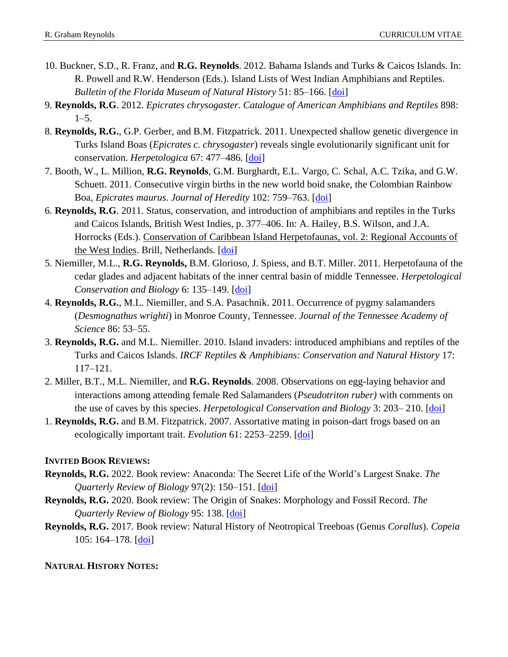- 10. Buckner, S.D., R. Franz, and **R.G. Reynolds**. 2012. Bahama Islands and Turks & Caicos Islands. In: R. Powell and R.W. Henderson (Eds.). Island Lists of West Indian Amphibians and Reptiles. *Bulletin of the Florida Museum of Natural History* 51: 85–166. [\[doi\]](http://www.flmnh.ufl.edu/bulletin/bulletin_vols.htm)
- 9. **Reynolds, R.G**. 2012. *Epicrates chrysogaster*. *Catalogue of American Amphibians and Reptiles* 898: 1–5.
- 8. **Reynolds, R.G.**, G.P. Gerber, and B.M. Fitzpatrick. 2011. Unexpected shallow genetic divergence in Turks Island Boas (*Epicrates c. chrysogaster*) reveals single evolutionarily significant unit for conservation. *Herpetologica* 67: 477–486. [\[doi\]](http://www.bioone.org/doi/abs/10.1655/HERPETOLOGICA-D-11-00014.1)
- 7. Booth, W., L. Million, **R.G. Reynolds**, G.M. Burghardt, E.L. Vargo, C. Schal, A.C. Tzika, and G.W. Schuett. 2011. Consecutive virgin births in the new world boid snake, the Colombian Rainbow Boa, *Epicrates maurus*. *Journal of Heredity* 102: 759–763. [\[doi\]](http://jhered.oxfordjournals.org/content/102/6/759.abstract)
- 6. **Reynolds, R.G**. 2011. Status, conservation, and introduction of amphibians and reptiles in the Turks and Caicos Islands, British West Indies, p. 377–406. In: A. Hailey, B.S. Wilson, and J.A. Horrocks (Eds.). Conservation of Caribbean Island Herpetofaunas, vol. 2: Regional Accounts of the West Indies. Brill, Netherlands. [\[doi\]](https://www.caribbeanboas.org/wp-content/uploads/2012/09/Reynolds_2011_ccih.pdf)
- 5. Niemiller, M.L., **R.G. Reynolds,** B.M. Glorioso, J. Spiess, and B.T. Miller. 2011. Herpetofauna of the cedar glades and adjacent habitats of the inner central basin of middle Tennessee. *Herpetological Conservation and Biology* 6: 135–149. [\[doi\]](http://www.herpconbio.org/Volume_6/Issue_1/Niemiller_etal_2011.pdf)
- 4. **Reynolds, R.G.**, M.L. Niemiller, and S.A. Pasachnik. 2011. Occurrence of pygmy salamanders (*Desmognathus wrighti*) in Monroe County, Tennessee. *Journal of the Tennessee Academy of Science* 86: 53–55.
- 3. **Reynolds, R.G.** and M.L. Niemiller. 2010. Island invaders: introduced amphibians and reptiles of the Turks and Caicos Islands. *IRCF Reptiles & Amphibians: Conservation and Natural History* 17: 117–121.
- 2. Miller, B.T., M.L. Niemiller, and **R.G. Reynolds**. 2008. Observations on egg-laying behavior and interactions among attending female Red Salamanders (*Pseudotriton ruber)* with comments on the use of caves by this species. *Herpetological Conservation and Biology* 3: 203– 210. [\[doi\]](http://www.herpconbio.org/Volume_3/Issue_2/Miller_etal_2008.pdf)
- 1. **Reynolds, R.G.** and B.M. Fitzpatrick. 2007. Assortative mating in poison-dart frogs based on an ecologically important trait. *Evolution* 61: 2253–2259. [\[doi\]](http://onlinelibrary.wiley.com/doi/10.1111/j.1558-5646.2007.00174.x/abstract)

### **INVITED BOOK REVIEWS:**

- **Reynolds, R.G.** 2022. Book review: Anaconda: The Secret Life of the World's Largest Snake. *The Quarterly Review of Biology* 97(2): 150–151. [\[doi\]](https://www.journals.uchicago.edu/doi/10.1086/720083)
- **Reynolds, R.G.** 2020. Book review: The Origin of Snakes: Morphology and Fossil Record. *The Quarterly Review of Biology* 95: 138. [\[doi\]](https://www.journals.uchicago.edu/doi/full/10.1086/709100)
- **Reynolds, R.G.** 2017. Book review: Natural History of Neotropical Treeboas (Genus *Corallus*). *Copeia* 105: 164–178. [\[doi\]](http://www.asihcopeiaonline.org/doi/abs/10.1643/OT-16-536)

### **NATURAL HISTORY NOTES:**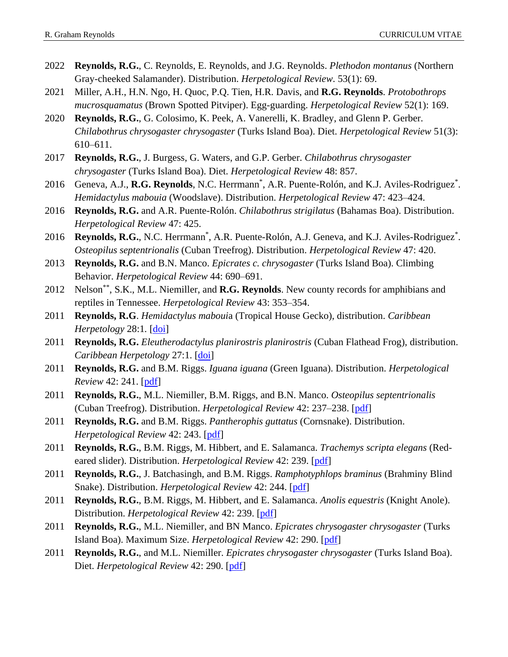- 2022 **Reynolds, R.G.**, C. Reynolds, E. Reynolds, and J.G. Reynolds. *Plethodon montanus* (Northern Gray-cheeked Salamander). Distribution. *Herpetological Review*. 53(1): 69.
- 2021 Miller, A.H., H.N. Ngo, H. Quoc, P.Q. Tien, H.R. Davis, and **R.G. Reynolds**. *Protobothrops mucrosquamatus* (Brown Spotted Pitviper). Egg-guarding. *Herpetological Review* 52(1): 169.
- 2020 **Reynolds, R.G.**, G. Colosimo, K. Peek, A. Vanerelli, K. Bradley, and Glenn P. Gerber. *Chilabothrus chrysogaster chrysogaster* (Turks Island Boa). Diet. *Herpetological Review* 51(3): 610–611.
- 2017 **Reynolds, R.G.**, J. Burgess, G. Waters, and G.P. Gerber. *Chilabothrus chrysogaster chrysogaster* (Turks Island Boa). Diet. *Herpetological Review* 48: 857.
- 2016 Geneva, A.J., **R.G. Reynolds**, N.C. Herrmann<sup>\*</sup>, A.R. Puente-Rolón, and K.J. Aviles-Rodriguez<sup>\*</sup>. *Hemidactylus mabouia* (Woodslave). Distribution. *Herpetological Review* 47: 423–424.
- 2016 **Reynolds, R.G.** and A.R. Puente-Rolón. *Chilabothrus strigilatus* (Bahamas Boa). Distribution. *Herpetological Review* 47: 425.
- 2016 Reynolds, R.G., N.C. Herrmann<sup>\*</sup>, A.R. Puente-Rolón, A.J. Geneva, and K.J. Aviles-Rodriguez<sup>\*</sup>. *Osteopilus septentrionalis* (Cuban Treefrog). Distribution. *Herpetological Review* 47: 420.
- 2013 **Reynolds, R.G.** and B.N. Manco. *Epicrates c. chrysogaster* (Turks Island Boa). Climbing Behavior. *Herpetological Review* 44: 690–691.
- 2012 Nelson\*\*, S.K., M.L. Niemiller, and **R.G. Reynolds**. New county records for amphibians and reptiles in Tennessee. *Herpetological Review* 43: 353–354.
- 2011 **Reynolds, R.G**. *Hemidactylus maboui*a (Tropical House Gecko), distribution. *Caribbean Herpetology* 28:1*.* [\[doi\]](http://www.caribherp.org/sight_all.php?mob=y)
- 2011 **Reynolds, R.G.** *Eleutherodactylus planirostris planirostris* (Cuban Flathead Frog), distribution. *Caribbean Herpetology* 27:1. [\[doi\]](http://www.caribherp.org/sight_all.php?mob=y)
- 2011 **Reynolds, R.G.** and B.M. Riggs. *Iguana iguana* (Green Iguana). Distribution. *Herpetological Review* 42: 241. [\[pdf\]](http://www.rgrahamreynolds.info/wp-content/uploads/2012/09/HR_42_237-244.pdf)
- 2011 **Reynolds, R.G.**, M.L. Niemiller, B.M. Riggs, and B.N. Manco. *Osteopilus septentrionalis* (Cuban Treefrog). Distribution. *Herpetological Review* 42: 237–238. [\[pdf\]](http://www.rgrahamreynolds.info/wp-content/uploads/2012/09/HR_42_237-244.pdf)
- 2011 **Reynolds, R.G.** and B.M. Riggs. *Pantherophis guttatus* (Cornsnake). Distribution. *Herpetological Review* 42: 243. [\[pdf\]](http://www.rgrahamreynolds.info/wp-content/uploads/2012/09/HR_42_237-244.pdf)
- 2011 **Reynolds, R.G.**, B.M. Riggs, M. Hibbert, and E. Salamanca. *Trachemys scripta elegans* (Redeared slider). Distribution. *Herpetological Review* 42: 239. [\[pdf\]](http://www.rgrahamreynolds.info/wp-content/uploads/2012/09/HR_42_237-244.pdf)
- 2011 **Reynolds, R.G.**, J. Batchasingh, and B.M. Riggs. *Ramphotyphlops braminus* (Brahminy Blind Snake). Distribution. *Herpetological Review* 42: 244. [\[pdf\]](http://www.rgrahamreynolds.info/wp-content/uploads/2012/09/HR_42_237-244.pdf)
- 2011 **Reynolds, R.G.**, B.M. Riggs, M. Hibbert, and E. Salamanca. *Anolis equestris* (Knight Anole). Distribution. *Herpetological Review* 42: 239. [\[pdf\]](http://www.rgrahamreynolds.info/wp-content/uploads/2012/09/HR_42_237-244.pdf)
- 2011 **Reynolds, R.G.**, M.L. Niemiller, and BN Manco. *Epicrates chrysogaster chrysogaster* (Turks Island Boa). Maximum Size. *Herpetological Review* 42: 290. [\[pdf\]](http://www.rgrahamreynolds.info/wp-content/uploads/2012/09/HR_42_290.pdf)
- 2011 **Reynolds, R.G.**, and M.L. Niemiller. *Epicrates chrysogaster chrysogaster* (Turks Island Boa). Diet. *Herpetological Review* 42: 290. [\[pdf\]](http://www.rgrahamreynolds.info/wp-content/uploads/2012/09/HR_42_290.pdf)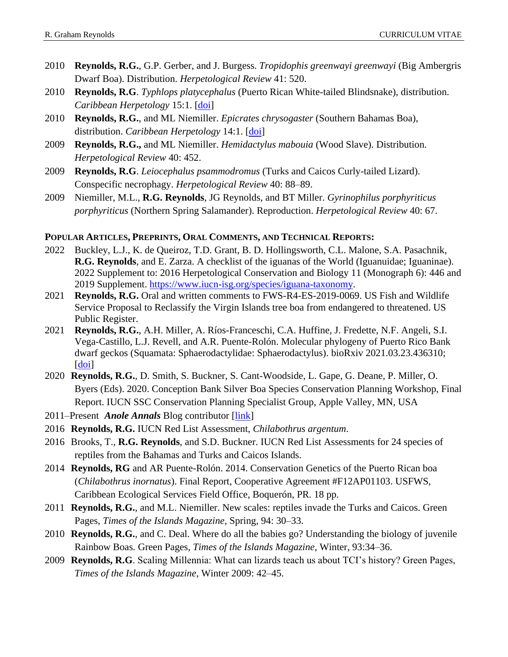- 2010 **Reynolds, R.G.**, G.P. Gerber, and J. Burgess. *Tropidophis greenwayi greenwayi* (Big Ambergris Dwarf Boa). Distribution. *Herpetological Review* 41: 520.
- 2010 **Reynolds, R.G**. *Typhlops platycephalus* (Puerto Rican White-tailed Blindsnake), distribution. *Caribbean Herpetology* 15:1. [\[doi\]](http://www.caribherp.org/sight_all.php?mob=y)
- 2010 **Reynolds, R.G.**, and ML Niemiller. *Epicrates chrysogaster* (Southern Bahamas Boa), distribution. *Caribbean Herpetology* 14:1. [\[doi\]](http://www.caribherp.org/sight_all.php?mob=y)
- 2009 **Reynolds, R.G.,** and ML Niemiller. *Hemidactylus mabouia* (Wood Slave). Distribution. *Herpetological Review* 40: 452.
- 2009 **Reynolds, R.G**. *Leiocephalus psammodromus* (Turks and Caicos Curly-tailed Lizard). Conspecific necrophagy. *Herpetological Review* 40: 88–89.
- 2009 Niemiller, M.L., **R.G. Reynolds**, JG Reynolds, and BT Miller. *Gyrinophilus porphyriticus porphyriticus* (Northern Spring Salamander). Reproduction. *Herpetological Review* 40: 67.

#### **POPULAR ARTICLES, PREPRINTS, ORAL COMMENTS, AND TECHNICAL REPORTS:**

- 2022 Buckley, L.J., K. de Queiroz, T.D. Grant, B. D. Hollingsworth, C.L. Malone, S.A. Pasachnik, **R.G. Reynolds**, and E. Zarza. A checklist of the iguanas of the World (Iguanuidae; Iguaninae). 2022 Supplement to: 2016 Herpetological Conservation and Biology 11 (Monograph 6): 446 and 2019 Supplement. [https://www.iucn-isg.org/species/iguana-taxonomy.](https://www.iucn-isg.org/species/iguana-taxonomy)
- 2021 **Reynolds, R.G.** Oral and written comments to FWS-R4-ES-2019-0069. US Fish and Wildlife Service Proposal to Reclassify the Virgin Islands tree boa from endangered to threatened. US Public Register.
- 2021 **Reynolds, R.G.**, A.H. Miller, A. Ríos-Franceschi, C.A. Huffine, J. Fredette, N.F. Angeli, S.I. Vega-Castillo, L.J. Revell, and A.R. Puente-Rolón. Molecular phylogeny of Puerto Rico Bank dwarf geckos (Squamata: Sphaerodactylidae: Sphaerodactylus). bioRxiv 2021.03.23.436310; [\[doi\]](https://www.biorxiv.org/content/10.1101/2021.03.23.436310v1)
- 2020 **Reynolds, R.G.**, D. Smith, S. Buckner, S. Cant-Woodside, L. Gape, G. Deane, P. Miller, O. Byers (Eds). 2020. Conception Bank Silver Boa Species Conservation Planning Workshop, Final Report. IUCN SSC Conservation Planning Specialist Group, Apple Valley, MN, USA
- 2011–Present *Anole Annals* Blog contributor [\[link\]](http://www.anoleannals.org/author/grahamreynolds/)
- 2016 **Reynolds, R.G.** IUCN Red List Assessment, *Chilabothrus argentum*.
- 2016 Brooks, T., **R.G. Reynolds**, and S.D. Buckner. IUCN Red List Assessments for 24 species of reptiles from the Bahamas and Turks and Caicos Islands.
- 2014 **Reynolds, RG** and AR Puente-Rolón. 2014. Conservation Genetics of the Puerto Rican boa (*Chilabothrus inornatus*). Final Report, Cooperative Agreement #F12AP01103. USFWS, Caribbean Ecological Services Field Office, Boquerón, PR. 18 pp.
- 2011 **Reynolds, R.G.**, and M.L. Niemiller. New scales: reptiles invade the Turks and Caicos. Green Pages, *Times of the Islands Magazine*, Spring, 94: 30–33.
- 2010 **Reynolds, R.G.**, and C. Deal. Where do all the babies go? Understanding the biology of juvenile Rainbow Boas*.* Green Pages, *Times of the Islands Magazine*, Winter, 93:34–36.
- 2009 **Reynolds, R.G**. Scaling Millennia: What can lizards teach us about TCI's history? Green Pages, *Times of the Islands Magazine*, Winter 2009: 42–45.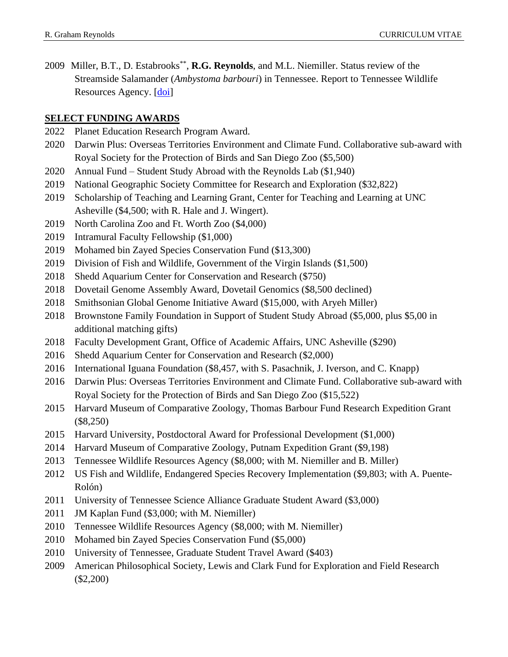2009 Miller, B.T., D. Estabrooks<sup>\*\*</sup>, R.G. Reynolds, and M.L. Niemiller. Status review of the Streamside Salamander (*Ambystoma barbouri*) in Tennessee. Report to Tennessee Wildlife Resources Agency. [\[doi\]](http://www.rgrahamreynolds.info/wp-content/uploads/2012/09/ambystoma_barbouri.pdf)

# **SELECT FUNDING AWARDS**

- Planet Education Research Program Award.
- Darwin Plus: Overseas Territories Environment and Climate Fund. Collaborative sub-award with Royal Society for the Protection of Birds and San Diego Zoo (\$5,500)
- Annual Fund Student Study Abroad with the Reynolds Lab (\$1,940)
- National Geographic Society Committee for Research and Exploration (\$32,822)
- Scholarship of Teaching and Learning Grant, Center for Teaching and Learning at UNC Asheville (\$4,500; with R. Hale and J. Wingert).
- North Carolina Zoo and Ft. Worth Zoo (\$4,000)
- Intramural Faculty Fellowship (\$1,000)
- Mohamed bin Zayed Species Conservation Fund (\$13,300)
- Division of Fish and Wildlife, Government of the Virgin Islands (\$1,500)
- Shedd Aquarium Center for Conservation and Research (\$750)
- Dovetail Genome Assembly Award, Dovetail Genomics (\$8,500 declined)
- Smithsonian Global Genome Initiative Award (\$15,000, with Aryeh Miller)
- Brownstone Family Foundation in Support of Student Study Abroad (\$5,000, plus \$5,00 in additional matching gifts)
- Faculty Development Grant, Office of Academic Affairs, UNC Asheville (\$290)
- Shedd Aquarium Center for Conservation and Research (\$2,000)
- International Iguana Foundation (\$8,457, with S. Pasachnik, J. Iverson, and C. Knapp)
- Darwin Plus: Overseas Territories Environment and Climate Fund. Collaborative sub-award with Royal Society for the Protection of Birds and San Diego Zoo (\$15,522)
- Harvard Museum of Comparative Zoology, Thomas Barbour Fund Research Expedition Grant (\$8,250)
- Harvard University, Postdoctoral Award for Professional Development (\$1,000)
- Harvard Museum of Comparative Zoology, Putnam Expedition Grant (\$9,198)
- Tennessee Wildlife Resources Agency (\$8,000; with M. Niemiller and B. Miller)
- US Fish and Wildlife, Endangered Species Recovery Implementation (\$9,803; with A. Puente-Rolón)
- University of Tennessee Science Alliance Graduate Student Award (\$3,000)
- JM Kaplan Fund (\$3,000; with M. Niemiller)
- Tennessee Wildlife Resources Agency (\$8,000; with M. Niemiller)
- Mohamed bin Zayed Species Conservation Fund (\$5,000)
- University of Tennessee, Graduate Student Travel Award (\$403)
- American Philosophical Society, Lewis and Clark Fund for Exploration and Field Research (\$2,200)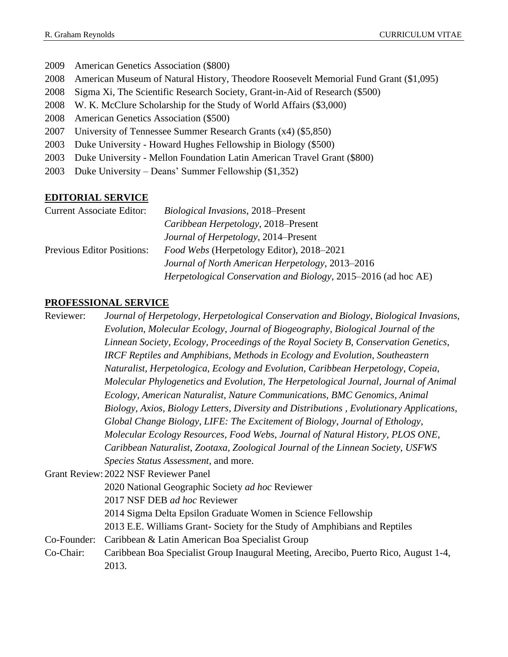American Genetics Association (\$800) American Museum of Natural History, Theodore Roosevelt Memorial Fund Grant (\$1,095) Sigma Xi, The Scientific Research Society, Grant-in-Aid of Research (\$500) W. K. McClure Scholarship for the Study of World Affairs (\$3,000) American Genetics Association (\$500) University of Tennessee Summer Research Grants (x4) (\$5,850) Duke University - Howard Hughes Fellowship in Biology (\$500) Duke University - Mellon Foundation Latin American Travel Grant (\$800) Duke University – Deans' Summer Fellowship (\$1,352)

### **EDITORIAL SERVICE**

| <b>Current Associate Editor:</b>  | Biological Invasions, 2018–Present                             |
|-----------------------------------|----------------------------------------------------------------|
|                                   | Caribbean Herpetology, 2018–Present                            |
|                                   | Journal of Herpetology, 2014–Present                           |
| <b>Previous Editor Positions:</b> | Food Webs (Herpetology Editor), 2018–2021                      |
|                                   | Journal of North American Herpetology, 2013–2016               |
|                                   | Herpetological Conservation and Biology, 2015–2016 (ad hoc AE) |

### **PROFESSIONAL SERVICE**

2013.

Reviewer: *Journal of Herpetology*, *Herpetological Conservation and Biology*, *Biological Invasions*, *Evolution*, *Molecular Ecology*, *Journal of Biogeography*, *Biological Journal of the Linnean Society*, *Ecology*, *Proceedings of the Royal Society B*, *Conservation Genetics*, *IRCF Reptiles and Amphibians, Methods in Ecology and Evolution*, *Southeastern Naturalist, Herpetologica*, *Ecology and Evolution*, *Caribbean Herpetology*, *Copeia*, *Molecular Phylogenetics and Evolution, The Herpetological Journal, Journal of Animal Ecology, American Naturalist*, *Nature Communications, BMC Genomics, Animal Biology, Axios, Biology Letters*, *Diversity and Distributions , Evolutionary Applications*, *Global Change Biology*, *LIFE: The Excitement of Biology*, *Journal of Ethology*, *Molecular Ecology Resources, Food Webs*, *Journal of Natural History*, *PLOS ONE*, *Caribbean Naturalist*, *Zootaxa, Zoological Journal of the Linnean Society*, *USFWS Species Status Assessment,* and more. Grant Review: 2022 NSF Reviewer Panel 2020 National Geographic Society *ad hoc* Reviewer 2017 NSF DEB *ad hoc* Reviewer 2014 Sigma Delta Epsilon Graduate Women in Science Fellowship 2013 E.E. Williams Grant- Society for the Study of Amphibians and Reptiles Co-Founder: Caribbean & Latin American Boa Specialist Group Co-Chair: Caribbean Boa Specialist Group Inaugural Meeting, Arecibo, Puerto Rico, August 1-4,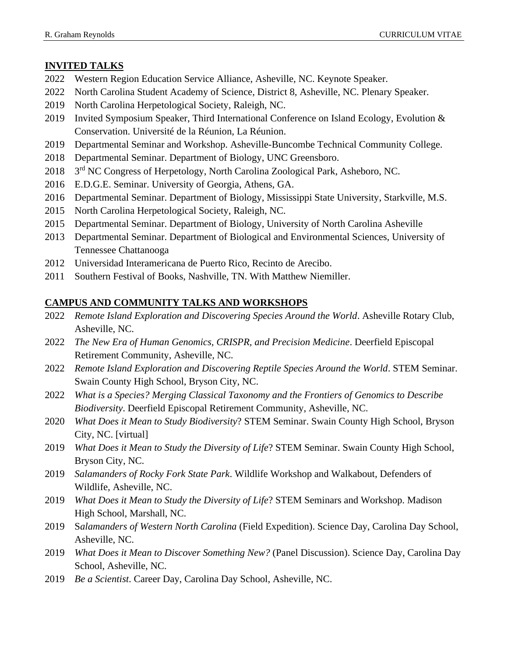# **INVITED TALKS**

- 2022 Western Region Education Service Alliance, Asheville, NC. Keynote Speaker.
- 2022 North Carolina Student Academy of Science, District 8, Asheville, NC. Plenary Speaker.
- 2019 North Carolina Herpetological Society, Raleigh, NC.
- 2019 Invited Symposium Speaker, Third International Conference on Island Ecology, Evolution & Conservation. Université de la Réunion, La Réunion.
- 2019 Departmental Seminar and Workshop. Asheville-Buncombe Technical Community College.
- 2018 Departmental Seminar. Department of Biology, UNC Greensboro.
- 2018 3<sup>rd</sup> NC Congress of Herpetology, North Carolina Zoological Park, Asheboro, NC.
- 2016 E.D.G.E. Seminar. University of Georgia, Athens, GA.
- 2016 Departmental Seminar. Department of Biology, Mississippi State University, Starkville, M.S.
- 2015 North Carolina Herpetological Society, Raleigh, NC.
- 2015 Departmental Seminar. Department of Biology, University of North Carolina Asheville
- 2013 Departmental Seminar. Department of Biological and Environmental Sciences, University of Tennessee Chattanooga
- 2012 Universidad Interamericana de Puerto Rico, Recinto de Arecibo.
- 2011 Southern Festival of Books, Nashville, TN. With Matthew Niemiller.

# **CAMPUS AND COMMUNITY TALKS AND WORKSHOPS**

- 2022 *Remote Island Exploration and Discovering Species Around the World*. Asheville Rotary Club, Asheville, NC.
- 2022 *The New Era of Human Genomics, CRISPR, and Precision Medicine*. Deerfield Episcopal Retirement Community, Asheville, NC.
- 2022 *Remote Island Exploration and Discovering Reptile Species Around the World*. STEM Seminar. Swain County High School, Bryson City, NC.
- 2022 *What is a Species? Merging Classical Taxonomy and the Frontiers of Genomics to Describe Biodiversity*. Deerfield Episcopal Retirement Community, Asheville, NC.
- 2020 *What Does it Mean to Study Biodiversity*? STEM Seminar. Swain County High School, Bryson City, NC. [virtual]
- 2019 *What Does it Mean to Study the Diversity of Life*? STEM Seminar. Swain County High School, Bryson City, NC.
- 2019 *Salamanders of Rocky Fork State Park*. Wildlife Workshop and Walkabout, Defenders of Wildlife, Asheville, NC.
- 2019 *What Does it Mean to Study the Diversity of Life*? STEM Seminars and Workshop. Madison High School, Marshall, NC.
- 2019 S*alamanders of Western North Carolina* (Field Expedition). Science Day, Carolina Day School, Asheville, NC.
- 2019 *What Does it Mean to Discover Something New?* (Panel Discussion). Science Day, Carolina Day School, Asheville, NC.
- 2019 *Be a Scientist*. Career Day, Carolina Day School, Asheville, NC.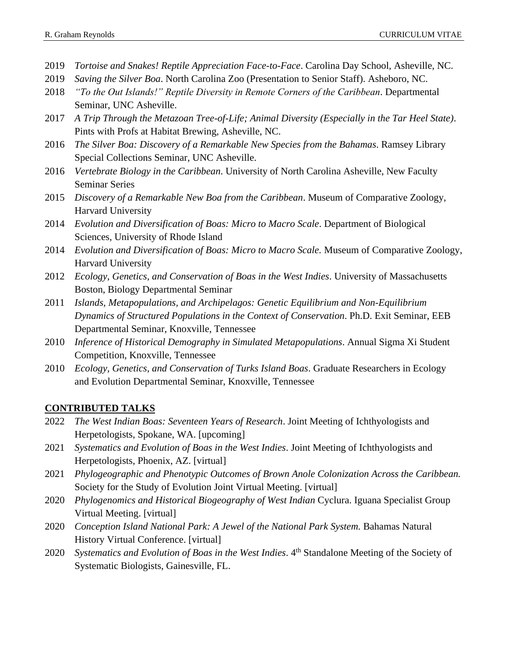- 2019 *Tortoise and Snakes! Reptile Appreciation Face-to-Face*. Carolina Day School, Asheville, NC.
- 2019 *Saving the Silver Boa*. North Carolina Zoo (Presentation to Senior Staff). Asheboro, NC.
- 2018 *"To the Out Islands!" Reptile Diversity in Remote Corners of the Caribbean*. Departmental Seminar, UNC Asheville.
- 2017 *A Trip Through the Metazoan Tree-of-Life; Animal Diversity (Especially in the Tar Heel State)*. Pints with Profs at Habitat Brewing, Asheville, NC.
- 2016 *The Silver Boa: Discovery of a Remarkable New Species from the Bahamas*. Ramsey Library Special Collections Seminar, UNC Asheville.
- 2016 *Vertebrate Biology in the Caribbean*. University of North Carolina Asheville, New Faculty Seminar Series
- 2015 *Discovery of a Remarkable New Boa from the Caribbean*. Museum of Comparative Zoology, Harvard University
- 2014 *Evolution and Diversification of Boas: Micro to Macro Scale*. Department of Biological Sciences, University of Rhode Island
- 2014 *Evolution and Diversification of Boas: Micro to Macro Scale.* Museum of Comparative Zoology, Harvard University
- 2012 *Ecology, Genetics, and Conservation of Boas in the West Indies*. University of Massachusetts Boston, Biology Departmental Seminar
- 2011 *Islands, Metapopulations, and Archipelagos: Genetic Equilibrium and Non-Equilibrium Dynamics of Structured Populations in the Context of Conservation*. Ph.D. Exit Seminar, EEB Departmental Seminar, Knoxville, Tennessee
- 2010 *Inference of Historical Demography in Simulated Metapopulations*. Annual Sigma Xi Student Competition, Knoxville, Tennessee
- 2010 *Ecology, Genetics, and Conservation of Turks Island Boas*. Graduate Researchers in Ecology and Evolution Departmental Seminar, Knoxville, Tennessee

# **CONTRIBUTED TALKS**

- 2022 *The West Indian Boas: Seventeen Years of Research*. Joint Meeting of Ichthyologists and Herpetologists, Spokane, WA. [upcoming]
- 2021 *Systematics and Evolution of Boas in the West Indies*. Joint Meeting of Ichthyologists and Herpetologists, Phoenix, AZ. [virtual]
- 2021 *Phylogeographic and Phenotypic Outcomes of Brown Anole Colonization Across the Caribbean.*  Society for the Study of Evolution Joint Virtual Meeting. [virtual]
- 2020 *Phylogenomics and Historical Biogeography of West Indian* Cyclura. Iguana Specialist Group Virtual Meeting. [virtual]
- 2020 *Conception Island National Park: A Jewel of the National Park System. Bahamas Natural* History Virtual Conference. [virtual]
- 2020 *Systematics and Evolution of Boas in the West Indies*. 4<sup>th</sup> Standalone Meeting of the Society of Systematic Biologists, Gainesville, FL.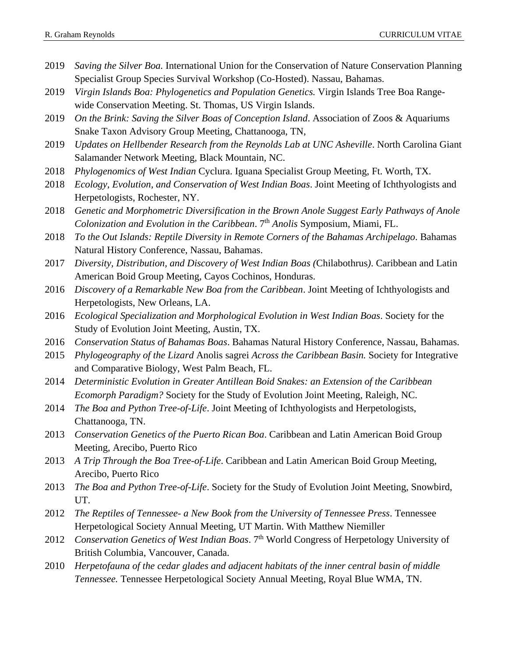- 2019 *Saving the Silver Boa.* International Union for the Conservation of Nature Conservation Planning Specialist Group Species Survival Workshop (Co-Hosted). Nassau, Bahamas.
- 2019 *Virgin Islands Boa: Phylogenetics and Population Genetics.* Virgin Islands Tree Boa Rangewide Conservation Meeting. St. Thomas, US Virgin Islands.
- 2019 *On the Brink: Saving the Silver Boas of Conception Island*. Association of Zoos & Aquariums Snake Taxon Advisory Group Meeting, Chattanooga, TN,
- 2019 *Updates on Hellbender Research from the Reynolds Lab at UNC Asheville*. North Carolina Giant Salamander Network Meeting, Black Mountain, NC.
- 2018 *Phylogenomics of West Indian* Cyclura. Iguana Specialist Group Meeting, Ft. Worth, TX.
- 2018 *Ecology, Evolution, and Conservation of West Indian Boas*. Joint Meeting of Ichthyologists and Herpetologists, Rochester, NY.
- 2018 *Genetic and Morphometric Diversification in the Brown Anole Suggest Early Pathways of Anole Colonization and Evolution in the Caribbean.* 7<sup>th</sup> *Anolis* Symposium, Miami, FL.
- 2018 *To the Out Islands: Reptile Diversity in Remote Corners of the Bahamas Archipelago*. Bahamas Natural History Conference, Nassau, Bahamas.
- 2017 *Diversity, Distribution, and Discovery of West Indian Boas (*Chilabothrus*)*. Caribbean and Latin American Boid Group Meeting, Cayos Cochinos, Honduras.
- 2016 *Discovery of a Remarkable New Boa from the Caribbean*. Joint Meeting of Ichthyologists and Herpetologists, New Orleans, LA.
- 2016 *Ecological Specialization and Morphological Evolution in West Indian Boas*. Society for the Study of Evolution Joint Meeting, Austin, TX.
- 2016 *Conservation Status of Bahamas Boas*. Bahamas Natural History Conference, Nassau, Bahamas.
- 2015 *Phylogeography of the Lizard* Anolis sagrei *Across the Caribbean Basin.* Society for Integrative and Comparative Biology, West Palm Beach, FL.
- 2014 *Deterministic Evolution in Greater Antillean Boid Snakes: an Extension of the Caribbean Ecomorph Paradigm?* Society for the Study of Evolution Joint Meeting, Raleigh, NC.
- 2014 *The Boa and Python Tree-of-Life*. Joint Meeting of Ichthyologists and Herpetologists, Chattanooga, TN.
- 2013 *Conservation Genetics of the Puerto Rican Boa*. Caribbean and Latin American Boid Group Meeting, Arecibo, Puerto Rico
- 2013 *A Trip Through the Boa Tree-of-Life*. Caribbean and Latin American Boid Group Meeting, Arecibo, Puerto Rico
- 2013 *The Boa and Python Tree-of-Life*. Society for the Study of Evolution Joint Meeting, Snowbird, UT.
- 2012 *The Reptiles of Tennessee- a New Book from the University of Tennessee Press*. Tennessee Herpetological Society Annual Meeting, UT Martin. With Matthew Niemiller
- 2012 Conservation Genetics of West Indian Boas. 7<sup>th</sup> World Congress of Herpetology University of British Columbia, Vancouver, Canada.
- 2010 *Herpetofauna of the cedar glades and adjacent habitats of the inner central basin of middle Tennessee.* Tennessee Herpetological Society Annual Meeting, Royal Blue WMA, TN.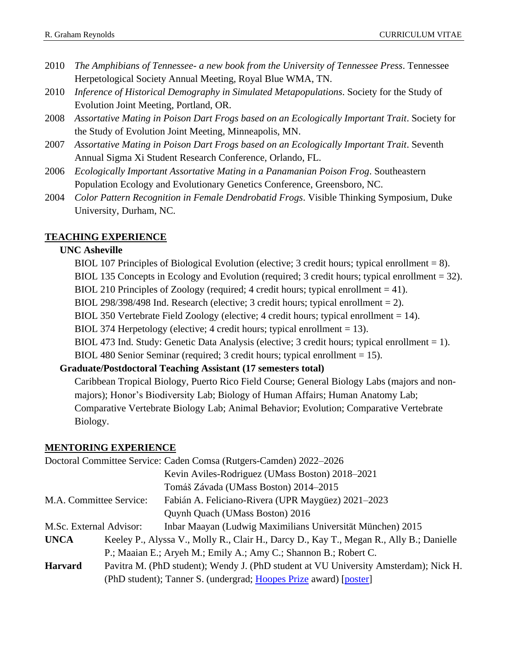- 2010 *The Amphibians of Tennessee- a new book from the University of Tennessee Press*. Tennessee Herpetological Society Annual Meeting, Royal Blue WMA, TN.
- 2010 *Inference of Historical Demography in Simulated Metapopulations*. Society for the Study of Evolution Joint Meeting, Portland, OR.
- 2008 *Assortative Mating in Poison Dart Frogs based on an Ecologically Important Trait*. Society for the Study of Evolution Joint Meeting, Minneapolis, MN.
- 2007 *Assortative Mating in Poison Dart Frogs based on an Ecologically Important Trait*. Seventh Annual Sigma Xi Student Research Conference, Orlando, FL.
- 2006 *Ecologically Important Assortative Mating in a Panamanian Poison Frog*. Southeastern Population Ecology and Evolutionary Genetics Conference, Greensboro, NC.
- 2004 *Color Pattern Recognition in Female Dendrobatid Frogs*. Visible Thinking Symposium, Duke University, Durham, NC.

### **TEACHING EXPERIENCE**

### **UNC Asheville**

- BIOL 107 Principles of Biological Evolution (elective; 3 credit hours; typical enrollment = 8).
- BIOL 135 Concepts in Ecology and Evolution (required; 3 credit hours; typical enrollment = 32).
- BIOL 210 Principles of Zoology (required; 4 credit hours; typical enrollment  $= 41$ ).
- BIOL 298/398/498 Ind. Research (elective; 3 credit hours; typical enrollment  $= 2$ ).
- BIOL 350 Vertebrate Field Zoology (elective; 4 credit hours; typical enrollment  $= 14$ ).
- BIOL 374 Herpetology (elective; 4 credit hours; typical enrollment  $= 13$ ).
- BIOL 473 Ind. Study: Genetic Data Analysis (elective; 3 credit hours; typical enrollment = 1).
- BIOL 480 Senior Seminar (required; 3 credit hours; typical enrollment = 15).

### **Graduate/Postdoctoral Teaching Assistant (17 semesters total)**

Caribbean Tropical Biology, Puerto Rico Field Course; General Biology Labs (majors and nonmajors); Honor's Biodiversity Lab; Biology of Human Affairs; Human Anatomy Lab; Comparative Vertebrate Biology Lab; Animal Behavior; Evolution; Comparative Vertebrate Biology.

#### **MENTORING EXPERIENCE**

| Doctoral Committee Service: Caden Comsa (Rutgers-Camden) 2022–2026 |  |                                                                                         |
|--------------------------------------------------------------------|--|-----------------------------------------------------------------------------------------|
|                                                                    |  | Kevin Aviles-Rodriguez (UMass Boston) 2018-2021                                         |
|                                                                    |  | Tomáš Závada (UMass Boston) 2014–2015                                                   |
| M.A. Committee Service:                                            |  | Fabián A. Feliciano-Rivera (UPR Maygüez) 2021–2023                                      |
|                                                                    |  | Quynh Quach (UMass Boston) 2016                                                         |
| M.Sc. External Advisor:                                            |  | Inbar Maayan (Ludwig Maximilians Universität München) 2015                              |
| <b>UNCA</b>                                                        |  | Keeley P., Alyssa V., Molly R., Clair H., Darcy D., Kay T., Megan R., Ally B.; Danielle |
|                                                                    |  | P.; Maaian E.; Aryeh M.; Emily A.; Amy C.; Shannon B.; Robert C.                        |
| <b>Harvard</b>                                                     |  | Pavitra M. (PhD student); Wendy J. (PhD student at VU University Amsterdam); Nick H.    |
|                                                                    |  | (PhD student); Tanner S. (undergrad; Hoopes Prize award) [poster]                       |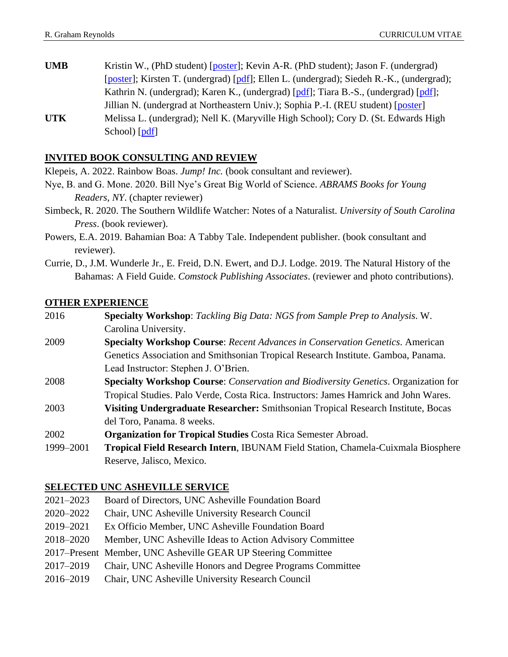**UMB** Kristin W., (PhD student) [poster]; Kevin A-R. (PhD student); Jason F. (undergrad) [poster]; Kirsten T. (undergrad) [pdf]; Ellen L. (undergrad); Siedeh R.-K., (undergrad); Kathrin N. (undergrad); Karen K., (undergrad) [pdf]; Tiara B.-S., (undergrad) [pdf]; Jillian N. (undergrad at Northeastern Univ.); Sophia P.-I. (REU student) [poster] **UTK** Melissa L. (undergrad); Nell K. (Maryville High School); Cory D. (St. Edwards High School) [pdf]

# **INVITED BOOK CONSULTING AND REVIEW**

Klepeis, A. 2022. Rainbow Boas. *Jump! Inc.* (book consultant and reviewer).

- Nye, B. and G. Mone. 2020. Bill Nye's Great Big World of Science. *ABRAMS Books for Young Readers, NY*. (chapter reviewer)
- Simbeck, R. 2020. The Southern Wildlife Watcher: Notes of a Naturalist. *University of South Carolina Press*. (book reviewer).
- Powers, E.A. 2019. Bahamian Boa: A Tabby Tale. Independent publisher. (book consultant and reviewer).
- Currie, D., J.M. Wunderle Jr., E. Freid, D.N. Ewert, and D.J. Lodge. 2019. The Natural History of the Bahamas: A Field Guide. *Comstock Publishing Associates*. (reviewer and photo contributions).

### **OTHER EXPERIENCE**

- 2016 **Specialty Workshop**: *Tackling Big Data: NGS from Sample Prep to Analysis*. W. Carolina University.
- 2009 **Specialty Workshop Course**: *Recent Advances in Conservation Genetics*. American Genetics Association and Smithsonian Tropical Research Institute. Gamboa, Panama. Lead Instructor: Stephen J. O'Brien.
- 2008 **Specialty Workshop Course**: *Conservation and Biodiversity Genetics*. Organization for Tropical Studies. Palo Verde, Costa Rica. Instructors: James Hamrick and John Wares.
- 2003 **Visiting Undergraduate Researcher:** Smithsonian Tropical Research Institute, Bocas del Toro, Panama. 8 weeks.
- 2002 **Organization for Tropical Studies** Costa Rica Semester Abroad.
- 1999–2001 **Tropical Field Research Intern**, IBUNAM Field Station, Chamela-Cuixmala Biosphere Reserve, Jalisco, Mexico.

### **SELECTED UNC ASHEVILLE SERVICE**

- 2021–2023 Board of Directors, UNC Asheville Foundation Board
- 2020–2022 Chair, UNC Asheville University Research Council
- 2019–2021 Ex Officio Member, UNC Asheville Foundation Board
- 2018–2020 Member, UNC Asheville Ideas to Action Advisory Committee
- 2017–Present Member, UNC Asheville GEAR UP Steering Committee
- 2017–2019 Chair, UNC Asheville Honors and Degree Programs Committee
- 2016–2019 Chair, UNC Asheville University Research Council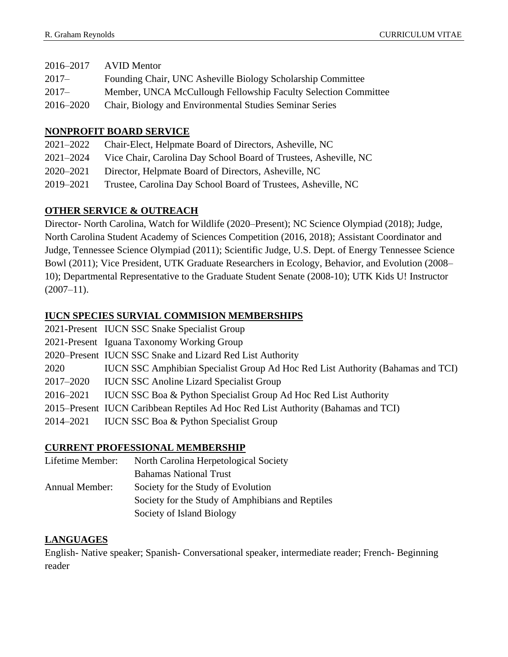| 2016–2017 | AVID Mentor                                                    |
|-----------|----------------------------------------------------------------|
| $2017-$   | Founding Chair, UNC Asheville Biology Scholarship Committee    |
| $2017 -$  | Member, UNCA McCullough Fellowship Faculty Selection Committee |
| 2016–2020 | Chair, Biology and Environmental Studies Seminar Series        |

### **NONPROFIT BOARD SERVICE**

| 2021-2022     | Chair-Elect, Helpmate Board of Directors, Asheville, NC          |
|---------------|------------------------------------------------------------------|
| $2021 - 2024$ | Vice Chair, Carolina Day School Board of Trustees, Asheville, NC |
| 2020–2021     | Director, Helpmate Board of Directors, Asheville, NC             |
| 2019–2021     | Trustee, Carolina Day School Board of Trustees, Asheville, NC    |

### **OTHER SERVICE & OUTREACH**

Director- North Carolina, Watch for Wildlife (2020–Present); NC Science Olympiad (2018); Judge, North Carolina Student Academy of Sciences Competition (2016, 2018); Assistant Coordinator and Judge, Tennessee Science Olympiad (2011); Scientific Judge, U.S. Dept. of Energy Tennessee Science Bowl (2011); Vice President, UTK Graduate Researchers in Ecology, Behavior, and Evolution (2008– 10); Departmental Representative to the Graduate Student Senate (2008-10); UTK Kids U! Instructor  $(2007-11).$ 

# **IUCN SPECIES SURVIAL COMMISION MEMBERSHIPS**

|           | 2021-Present IUCN SSC Snake Specialist Group                                           |
|-----------|----------------------------------------------------------------------------------------|
|           | 2021-Present Iguana Taxonomy Working Group                                             |
|           | 2020–Present IUCN SSC Snake and Lizard Red List Authority                              |
| 2020      | <b>IUCN SSC Amphibian Specialist Group Ad Hoc Red List Authority (Bahamas and TCI)</b> |
| 2017–2020 | <b>IUCN SSC Anoline Lizard Specialist Group</b>                                        |
| 2016-2021 | <b>IUCN SSC Boa &amp; Python Specialist Group Ad Hoc Red List Authority</b>            |
|           | 2015–Present IUCN Caribbean Reptiles Ad Hoc Red List Authority (Bahamas and TCI)       |
| 2014–2021 | <b>IUCN SSC Boa &amp; Python Specialist Group</b>                                      |

### **CURRENT PROFESSIONAL MEMBERSHIP**

| Lifetime Member:      | North Carolina Herpetological Society            |
|-----------------------|--------------------------------------------------|
|                       | <b>Bahamas National Trust</b>                    |
| <b>Annual Member:</b> | Society for the Study of Evolution               |
|                       | Society for the Study of Amphibians and Reptiles |
|                       | Society of Island Biology                        |
|                       |                                                  |

### **LANGUAGES**

English- Native speaker; Spanish- Conversational speaker, intermediate reader; French- Beginning reader